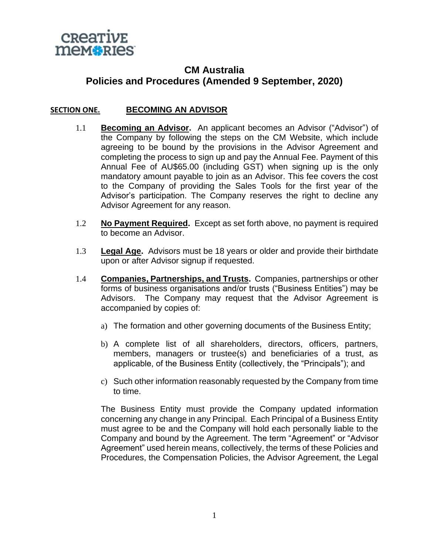

# **CM Australia Policies and Procedures (Amended 9 September, 2020)**

#### **SECTION ONE. BECOMING AN ADVISOR**

- 1.1 **Becoming an Advisor.** An applicant becomes an Advisor ("Advisor") of the Company by following the steps on the CM Website, which include agreeing to be bound by the provisions in the Advisor Agreement and completing the process to sign up and pay the Annual Fee. Payment of this Annual Fee of AU\$65.00 (including GST) when signing up is the only mandatory amount payable to join as an Advisor. This fee covers the cost to the Company of providing the Sales Tools for the first year of the Advisor's participation. The Company reserves the right to decline any Advisor Agreement for any reason.
- 1.2 **No Payment Required.** Except as set forth above, no payment is required to become an Advisor.
- 1.3 **Legal Age.** Advisors must be 18 years or older and provide their birthdate upon or after Advisor signup if requested.
- 1.4 **Companies, Partnerships, and Trusts.** Companies, partnerships or other forms of business organisations and/or trusts ("Business Entities") may be Advisors. The Company may request that the Advisor Agreement is accompanied by copies of:
	- a) The formation and other governing documents of the Business Entity;
	- b) A complete list of all shareholders, directors, officers, partners, members, managers or trustee(s) and beneficiaries of a trust, as applicable, of the Business Entity (collectively, the "Principals"); and
	- c) Such other information reasonably requested by the Company from time to time.

The Business Entity must provide the Company updated information concerning any change in any Principal. Each Principal of a Business Entity must agree to be and the Company will hold each personally liable to the Company and bound by the Agreement. The term "Agreement" or "Advisor Agreement" used herein means, collectively, the terms of these Policies and Procedures, the Compensation Policies, the Advisor Agreement, the Legal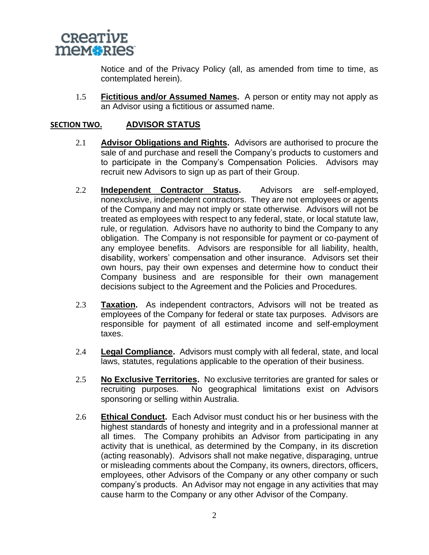

Notice and of the Privacy Policy (all, as amended from time to time, as contemplated herein).

1.5 **Fictitious and/or Assumed Names.** A person or entity may not apply as an Advisor using a fictitious or assumed name.

### **SECTION TWO. ADVISOR STATUS**

- 2.1 **Advisor Obligations and Rights.** Advisors are authorised to procure the sale of and purchase and resell the Company's products to customers and to participate in the Company's Compensation Policies. Advisors may recruit new Advisors to sign up as part of their Group.
- 2.2 **Independent Contractor Status.** Advisors are self-employed, nonexclusive, independent contractors. They are not employees or agents of the Company and may not imply or state otherwise. Advisors will not be treated as employees with respect to any federal, state, or local statute law, rule, or regulation. Advisors have no authority to bind the Company to any obligation. The Company is not responsible for payment or co-payment of any employee benefits. Advisors are responsible for all liability, health, disability, workers' compensation and other insurance. Advisors set their own hours, pay their own expenses and determine how to conduct their Company business and are responsible for their own management decisions subject to the Agreement and the Policies and Procedures.
- 2.3 **Taxation.** As independent contractors, Advisors will not be treated as employees of the Company for federal or state tax purposes. Advisors are responsible for payment of all estimated income and self-employment taxes.
- 2.4 **Legal Compliance.** Advisors must comply with all federal, state, and local laws, statutes, regulations applicable to the operation of their business.
- 2.5 **No Exclusive Territories.** No exclusive territories are granted for sales or recruiting purposes. No geographical limitations exist on Advisors sponsoring or selling within Australia.
- 2.6 **Ethical Conduct.** Each Advisor must conduct his or her business with the highest standards of honesty and integrity and in a professional manner at all times. The Company prohibits an Advisor from participating in any activity that is unethical, as determined by the Company, in its discretion (acting reasonably). Advisors shall not make negative, disparaging, untrue or misleading comments about the Company, its owners, directors, officers, employees, other Advisors of the Company or any other company or such company's products. An Advisor may not engage in any activities that may cause harm to the Company or any other Advisor of the Company.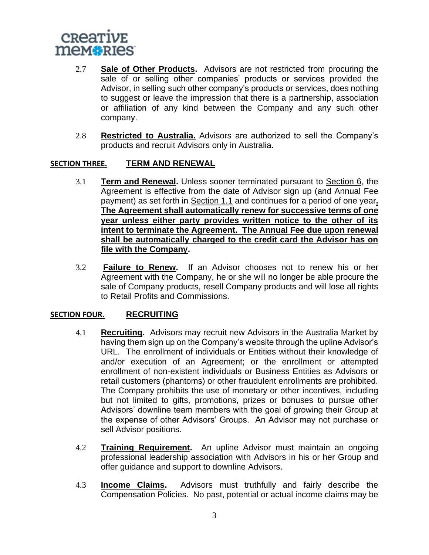

- 2.7 **Sale of Other Products.** Advisors are not restricted from procuring the sale of or selling other companies' products or services provided the Advisor, in selling such other company's products or services, does nothing to suggest or leave the impression that there is a partnership, association or affiliation of any kind between the Company and any such other company.
- 2.8 **Restricted to Australia.** Advisors are authorized to sell the Company's products and recruit Advisors only in Australia.

#### **SECTION THREE. TERM AND RENEWAL**

- 3.1 **Term and Renewal.** Unless sooner terminated pursuant to Section 6, the Agreement is effective from the date of Advisor sign up (and Annual Fee payment) as set forth in Section 1.1 and continues for a period of one year**. The Agreement shall automatically renew for successive terms of one year unless either party provides written notice to the other of its intent to terminate the Agreement. The Annual Fee due upon renewal shall be automatically charged to the credit card the Advisor has on file with the Company.**
- 3.2 **Failure to Renew.** If an Advisor chooses not to renew his or her Agreement with the Company, he or she will no longer be able procure the sale of Company products, resell Company products and will lose all rights to Retail Profits and Commissions.

# **SECTION FOUR. RECRUITING**

- 4.1 **Recruiting.** Advisors may recruit new Advisors in the Australia Market by having them sign up on the Company's website through the upline Advisor's URL. The enrollment of individuals or Entities without their knowledge of and/or execution of an Agreement; or the enrollment or attempted enrollment of non-existent individuals or Business Entities as Advisors or retail customers (phantoms) or other fraudulent enrollments are prohibited. The Company prohibits the use of monetary or other incentives, including but not limited to gifts, promotions, prizes or bonuses to pursue other Advisors' downline team members with the goal of growing their Group at the expense of other Advisors' Groups. An Advisor may not purchase or sell Advisor positions.
- 4.2 **Training Requirement.** An upline Advisor must maintain an ongoing professional leadership association with Advisors in his or her Group and offer guidance and support to downline Advisors.
- 4.3 **Income Claims.** Advisors must truthfully and fairly describe the Compensation Policies. No past, potential or actual income claims may be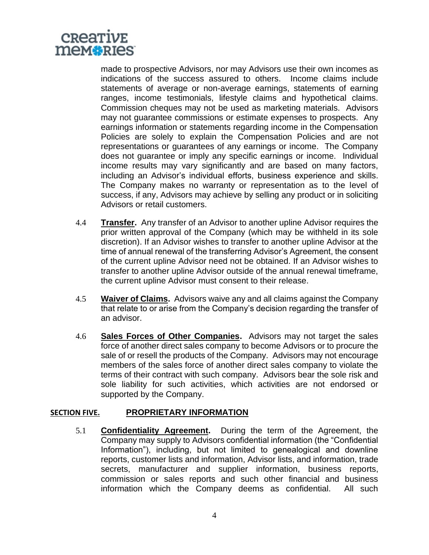

made to prospective Advisors, nor may Advisors use their own incomes as indications of the success assured to others. Income claims include statements of average or non-average earnings, statements of earning ranges, income testimonials, lifestyle claims and hypothetical claims. Commission cheques may not be used as marketing materials. Advisors may not guarantee commissions or estimate expenses to prospects. Any earnings information or statements regarding income in the Compensation Policies are solely to explain the Compensation Policies and are not representations or guarantees of any earnings or income. The Company does not guarantee or imply any specific earnings or income. Individual income results may vary significantly and are based on many factors, including an Advisor's individual efforts, business experience and skills. The Company makes no warranty or representation as to the level of success, if any, Advisors may achieve by selling any product or in soliciting Advisors or retail customers.

- 4.4 **Transfer.** Any transfer of an Advisor to another upline Advisor requires the prior written approval of the Company (which may be withheld in its sole discretion). If an Advisor wishes to transfer to another upline Advisor at the time of annual renewal of the transferring Advisor's Agreement, the consent of the current upline Advisor need not be obtained. If an Advisor wishes to transfer to another upline Advisor outside of the annual renewal timeframe, the current upline Advisor must consent to their release.
- 4.5 **Waiver of Claims.** Advisors waive any and all claims against the Company that relate to or arise from the Company's decision regarding the transfer of an advisor.
- 4.6 **Sales Forces of Other Companies.** Advisors may not target the sales force of another direct sales company to become Advisors or to procure the sale of or resell the products of the Company. Advisors may not encourage members of the sales force of another direct sales company to violate the terms of their contract with such company. Advisors bear the sole risk and sole liability for such activities, which activities are not endorsed or supported by the Company.

#### **SECTION FIVE. PROPRIETARY INFORMATION**

5.1 **Confidentiality Agreement.** During the term of the Agreement, the Company may supply to Advisors confidential information (the "Confidential Information"), including, but not limited to genealogical and downline reports, customer lists and information, Advisor lists, and information, trade secrets, manufacturer and supplier information, business reports, commission or sales reports and such other financial and business information which the Company deems as confidential. All such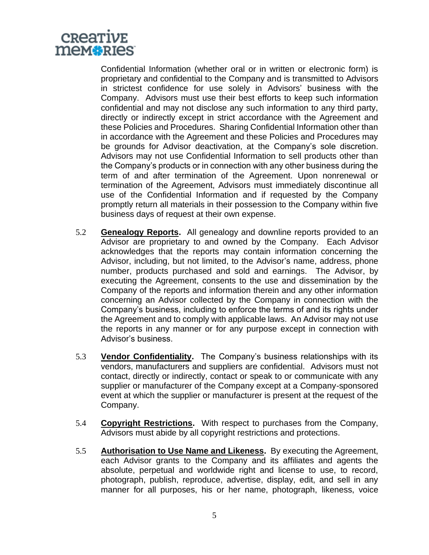

Confidential Information (whether oral or in written or electronic form) is proprietary and confidential to the Company and is transmitted to Advisors in strictest confidence for use solely in Advisors' business with the Company. Advisors must use their best efforts to keep such information confidential and may not disclose any such information to any third party, directly or indirectly except in strict accordance with the Agreement and these Policies and Procedures. Sharing Confidential Information other than in accordance with the Agreement and these Policies and Procedures may be grounds for Advisor deactivation, at the Company's sole discretion. Advisors may not use Confidential Information to sell products other than the Company's products or in connection with any other business during the term of and after termination of the Agreement. Upon nonrenewal or termination of the Agreement, Advisors must immediately discontinue all use of the Confidential Information and if requested by the Company promptly return all materials in their possession to the Company within five business days of request at their own expense.

- 5.2 **Genealogy Reports.** All genealogy and downline reports provided to an Advisor are proprietary to and owned by the Company. Each Advisor acknowledges that the reports may contain information concerning the Advisor, including, but not limited, to the Advisor's name, address, phone number, products purchased and sold and earnings. The Advisor, by executing the Agreement, consents to the use and dissemination by the Company of the reports and information therein and any other information concerning an Advisor collected by the Company in connection with the Company's business, including to enforce the terms of and its rights under the Agreement and to comply with applicable laws. An Advisor may not use the reports in any manner or for any purpose except in connection with Advisor's business.
- 5.3 **Vendor Confidentiality.** The Company's business relationships with its vendors, manufacturers and suppliers are confidential. Advisors must not contact, directly or indirectly, contact or speak to or communicate with any supplier or manufacturer of the Company except at a Company-sponsored event at which the supplier or manufacturer is present at the request of the Company.
- 5.4 **Copyright Restrictions.** With respect to purchases from the Company, Advisors must abide by all copyright restrictions and protections.
- 5.5 **Authorisation to Use Name and Likeness.** By executing the Agreement, each Advisor grants to the Company and its affiliates and agents the absolute, perpetual and worldwide right and license to use, to record, photograph, publish, reproduce, advertise, display, edit, and sell in any manner for all purposes, his or her name, photograph, likeness, voice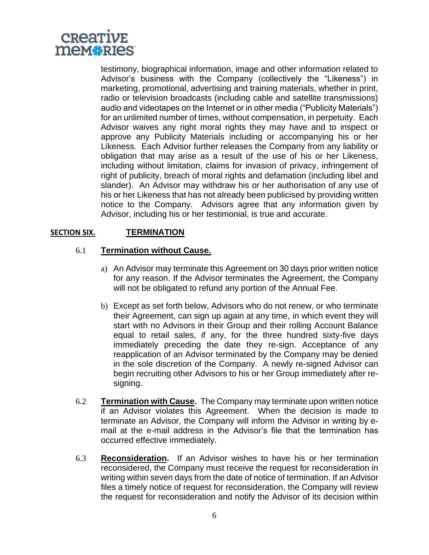

testimony, biographical information, image and other information related to Advisor's business with the Company (collectively the "Likeness") in marketing, promotional, advertising and training materials, whether in print, radio or television broadcasts (including cable and satellite transmissions) audio and videotapes on the Internet or in other media ("Publicity Materials") for an unlimited number of times, without compensation, in perpetuity. Each Advisor waives any right moral rights they may have and to inspect or approve any Publicity Materials including or accompanying his or her Likeness. Each Advisor further releases the Company from any liability or obligation that may arise as a result of the use of his or her Likeness, including without limitation, claims for invasion of privacy, infringement of right of publicity, breach of moral rights and defamation (including libel and slander). An Advisor may withdraw his or her authorisation of any use of his or her Likeness that has not already been publicised by providing written notice to the Company. Advisors agree that any information given by Advisor, including his or her testimonial, is true and accurate.

# **SECTION SIX. TERMINATION**

# 6.1 **Termination without Cause.**

- a) An Advisor may terminate this Agreement on 30 days prior written notice for any reason. If the Advisor terminates the Agreement, the Company will not be obligated to refund any portion of the Annual Fee.
- b) Except as set forth below, Advisors who do not renew, or who terminate their Agreement, can sign up again at any time, in which event they will start with no Advisors in their Group and their rolling Account Balance equal to retail sales, if any, for the three hundred sixty-five days immediately preceding the date they re-sign. Acceptance of any reapplication of an Advisor terminated by the Company may be denied in the sole discretion of the Company. A newly re-signed Advisor can begin recruiting other Advisors to his or her Group immediately after resigning.
- 6.2 **Termination with Cause.** The Company may terminate upon written notice if an Advisor violates this Agreement. When the decision is made to terminate an Advisor, the Company will inform the Advisor in writing by email at the e-mail address in the Advisor's file that the termination has occurred effective immediately.
- 6.3 **Reconsideration.** If an Advisor wishes to have his or her termination reconsidered, the Company must receive the request for reconsideration in writing within seven days from the date of notice of termination. If an Advisor files a timely notice of request for reconsideration, the Company will review the request for reconsideration and notify the Advisor of its decision within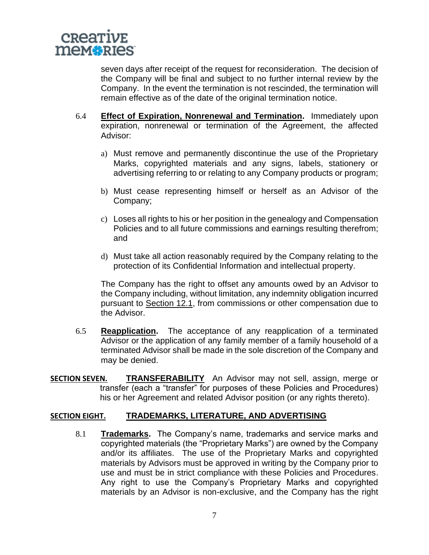

seven days after receipt of the request for reconsideration. The decision of the Company will be final and subject to no further internal review by the Company. In the event the termination is not rescinded, the termination will remain effective as of the date of the original termination notice.

- 6.4 **Effect of Expiration, Nonrenewal and Termination.** Immediately upon expiration, nonrenewal or termination of the Agreement, the affected Advisor:
	- a) Must remove and permanently discontinue the use of the Proprietary Marks, copyrighted materials and any signs, labels, stationery or advertising referring to or relating to any Company products or program;
	- b) Must cease representing himself or herself as an Advisor of the Company;
	- c) Loses all rights to his or her position in the genealogy and Compensation Policies and to all future commissions and earnings resulting therefrom; and
	- d) Must take all action reasonably required by the Company relating to the protection of its Confidential Information and intellectual property.

The Company has the right to offset any amounts owed by an Advisor to the Company including, without limitation, any indemnity obligation incurred pursuant to Section 12.1, from commissions or other compensation due to the Advisor.

- 6.5 **Reapplication.** The acceptance of any reapplication of a terminated Advisor or the application of any family member of a family household of a terminated Advisor shall be made in the sole discretion of the Company and may be denied.
- **SECTION SEVEN. TRANSFERABILITY** An Advisor may not sell, assign, merge or transfer (each a "transfer" for purposes of these Policies and Procedures) his or her Agreement and related Advisor position (or any rights thereto).

#### **SECTION EIGHT. TRADEMARKS, LITERATURE, AND ADVERTISING**

8.1 **Trademarks.** The Company's name, trademarks and service marks and copyrighted materials (the "Proprietary Marks") are owned by the Company and/or its affiliates. The use of the Proprietary Marks and copyrighted materials by Advisors must be approved in writing by the Company prior to use and must be in strict compliance with these Policies and Procedures. Any right to use the Company's Proprietary Marks and copyrighted materials by an Advisor is non-exclusive, and the Company has the right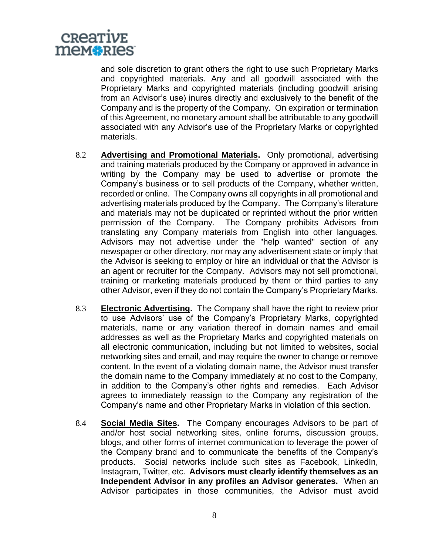

and sole discretion to grant others the right to use such Proprietary Marks and copyrighted materials. Any and all goodwill associated with the Proprietary Marks and copyrighted materials (including goodwill arising from an Advisor's use) inures directly and exclusively to the benefit of the Company and is the property of the Company. On expiration or termination of this Agreement, no monetary amount shall be attributable to any goodwill associated with any Advisor's use of the Proprietary Marks or copyrighted materials.

- 8.2 **Advertising and Promotional Materials.** Only promotional, advertising and training materials produced by the Company or approved in advance in writing by the Company may be used to advertise or promote the Company's business or to sell products of the Company, whether written, recorded or online. The Company owns all copyrights in all promotional and advertising materials produced by the Company. The Company's literature and materials may not be duplicated or reprinted without the prior written permission of the Company. The Company prohibits Advisors from translating any Company materials from English into other languages. Advisors may not advertise under the "help wanted" section of any newspaper or other directory, nor may any advertisement state or imply that the Advisor is seeking to employ or hire an individual or that the Advisor is an agent or recruiter for the Company. Advisors may not sell promotional, training or marketing materials produced by them or third parties to any other Advisor, even if they do not contain the Company's Proprietary Marks.
- 8.3 **Electronic Advertising.** The Company shall have the right to review prior to use Advisors' use of the Company's Proprietary Marks, copyrighted materials, name or any variation thereof in domain names and email addresses as well as the Proprietary Marks and copyrighted materials on all electronic communication, including but not limited to websites, social networking sites and email, and may require the owner to change or remove content. In the event of a violating domain name, the Advisor must transfer the domain name to the Company immediately at no cost to the Company, in addition to the Company's other rights and remedies. Each Advisor agrees to immediately reassign to the Company any registration of the Company's name and other Proprietary Marks in violation of this section.
- 8.4 **Social Media Sites.** The Company encourages Advisors to be part of and/or host social networking sites, online forums, discussion groups. blogs, and other forms of internet communication to leverage the power of the Company brand and to communicate the benefits of the Company's products. Social networks include such sites as Facebook, LinkedIn, Instagram, Twitter, etc. **Advisors must clearly identify themselves as an Independent Advisor in any profiles an Advisor generates.** When an Advisor participates in those communities, the Advisor must avoid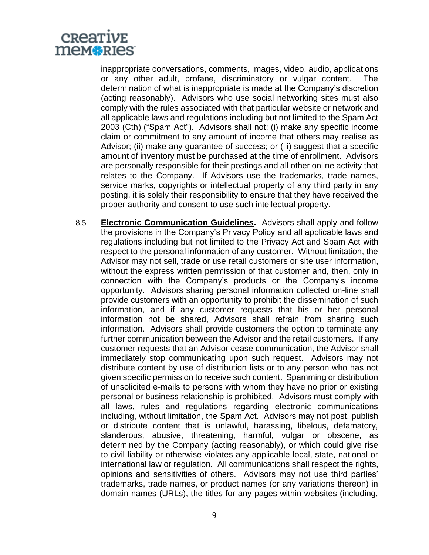

inappropriate conversations, comments, images, video, audio, applications or any other adult, profane, discriminatory or vulgar content. The determination of what is inappropriate is made at the Company's discretion (acting reasonably). Advisors who use social networking sites must also comply with the rules associated with that particular website or network and all applicable laws and regulations including but not limited to the Spam Act 2003 (Cth) ("Spam Act"). Advisors shall not: (i) make any specific income claim or commitment to any amount of income that others may realise as Advisor; (ii) make any guarantee of success; or (iii) suggest that a specific amount of inventory must be purchased at the time of enrollment. Advisors are personally responsible for their postings and all other online activity that relates to the Company. If Advisors use the trademarks, trade names, service marks, copyrights or intellectual property of any third party in any posting, it is solely their responsibility to ensure that they have received the proper authority and consent to use such intellectual property.

8.5 **Electronic Communication Guidelines.** Advisors shall apply and follow the provisions in the Company's Privacy Policy and all applicable laws and regulations including but not limited to the Privacy Act and Spam Act with respect to the personal information of any customer. Without limitation, the Advisor may not sell, trade or use retail customers or site user information, without the express written permission of that customer and, then, only in connection with the Company's products or the Company's income opportunity. Advisors sharing personal information collected on-line shall provide customers with an opportunity to prohibit the dissemination of such information, and if any customer requests that his or her personal information not be shared, Advisors shall refrain from sharing such information. Advisors shall provide customers the option to terminate any further communication between the Advisor and the retail customers. If any customer requests that an Advisor cease communication, the Advisor shall immediately stop communicating upon such request. Advisors may not distribute content by use of distribution lists or to any person who has not given specific permission to receive such content. Spamming or distribution of unsolicited e-mails to persons with whom they have no prior or existing personal or business relationship is prohibited. Advisors must comply with all laws, rules and regulations regarding electronic communications including, without limitation, the Spam Act. Advisors may not post, publish or distribute content that is unlawful, harassing, libelous, defamatory, slanderous, abusive, threatening, harmful, vulgar or obscene, as determined by the Company (acting reasonably), or which could give rise to civil liability or otherwise violates any applicable local, state, national or international law or regulation. All communications shall respect the rights, opinions and sensitivities of others. Advisors may not use third parties' trademarks, trade names, or product names (or any variations thereon) in domain names (URLs), the titles for any pages within websites (including,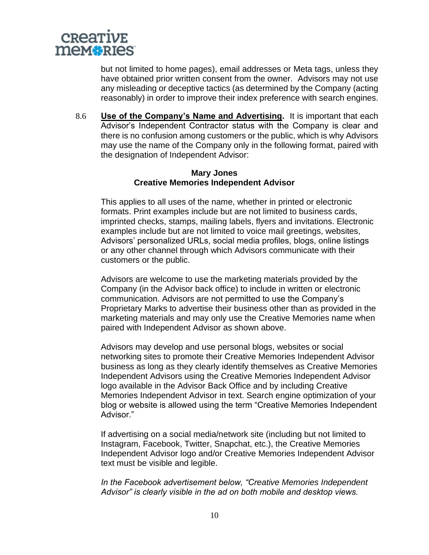

but not limited to home pages), email addresses or Meta tags, unless they have obtained prior written consent from the owner. Advisors may not use any misleading or deceptive tactics (as determined by the Company (acting reasonably) in order to improve their index preference with search engines.

8.6 **Use of the Company's Name and Advertising.** It is important that each Advisor's Independent Contractor status with the Company is clear and there is no confusion among customers or the public, which is why Advisors may use the name of the Company only in the following format, paired with the designation of Independent Advisor:

#### **Mary Jones Creative Memories Independent Advisor**

This applies to all uses of the name, whether in printed or electronic formats. Print examples include but are not limited to business cards, imprinted checks, stamps, mailing labels, flyers and invitations. Electronic examples include but are not limited to voice mail greetings, websites, Advisors' personalized URLs, social media profiles, blogs, online listings or any other channel through which Advisors communicate with their customers or the public.

Advisors are welcome to use the marketing materials provided by the Company (in the Advisor back office) to include in written or electronic communication. Advisors are not permitted to use the Company's Proprietary Marks to advertise their business other than as provided in the marketing materials and may only use the Creative Memories name when paired with Independent Advisor as shown above.

Advisors may develop and use personal blogs, websites or social networking sites to promote their Creative Memories Independent Advisor business as long as they clearly identify themselves as Creative Memories Independent Advisors using the Creative Memories Independent Advisor logo available in the Advisor Back Office and by including Creative Memories Independent Advisor in text. Search engine optimization of your blog or website is allowed using the term "Creative Memories Independent Advisor."

If advertising on a social media/network site (including but not limited to Instagram, Facebook, Twitter, Snapchat, etc.), the Creative Memories Independent Advisor logo and/or Creative Memories Independent Advisor text must be visible and legible.

*In the Facebook advertisement below, "Creative Memories Independent Advisor" is clearly visible in the ad on both mobile and desktop views.*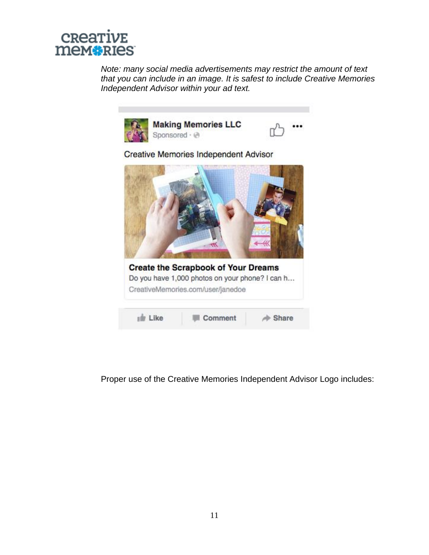

*Note: many social media advertisements may restrict the amount of text that you can include in an image. It is safest to include Creative Memories Independent Advisor within your ad text.*



Proper use of the Creative Memories Independent Advisor Logo includes: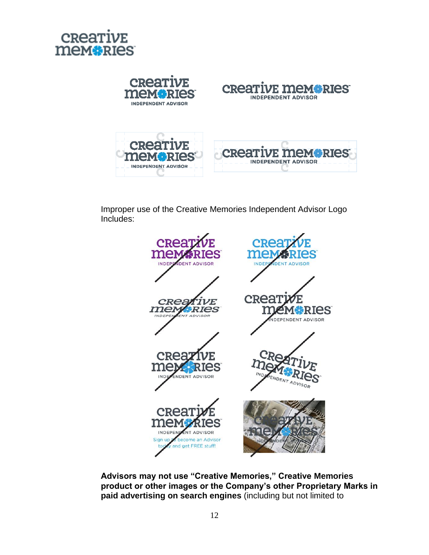



Improper use of the Creative Memories Independent Advisor Logo Includes:



**Advisors may not use "Creative Memories," Creative Memories product or other images or the Company's other Proprietary Marks in paid advertising on search engines** (including but not limited to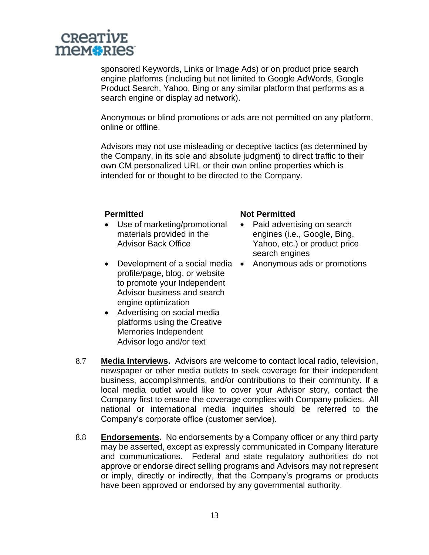

sponsored Keywords, Links or Image Ads) or on product price search engine platforms (including but not limited to Google AdWords, Google Product Search, Yahoo, Bing or any similar platform that performs as a search engine or display ad network).

Anonymous or blind promotions or ads are not permitted on any platform, online or offline.

Advisors may not use misleading or deceptive tactics (as determined by the Company, in its sole and absolute judgment) to direct traffic to their own CM personalized URL or their own online properties which is intended for or thought to be directed to the Company.

- Use of marketing/promotional materials provided in the Advisor Back Office
- Development of a social media Anonymous ads or promotions profile/page, blog, or website to promote your Independent Advisor business and search engine optimization
- Advertising on social media platforms using the Creative Memories Independent Advisor logo and/or text

#### **Permitted Not Permitted**

- Paid advertising on search engines (i.e., Google, Bing, Yahoo, etc.) or product price search engines
- 

- 8.7 **Media Interviews.** Advisors are welcome to contact local radio, television, newspaper or other media outlets to seek coverage for their independent business, accomplishments, and/or contributions to their community. If a local media outlet would like to cover your Advisor story, contact the Company first to ensure the coverage complies with Company policies. All national or international media inquiries should be referred to the Company's corporate office (customer service).
- 8.8 **Endorsements.** No endorsements by a Company officer or any third party may be asserted, except as expressly communicated in Company literature and communications. Federal and state regulatory authorities do not approve or endorse direct selling programs and Advisors may not represent or imply, directly or indirectly, that the Company's programs or products have been approved or endorsed by any governmental authority.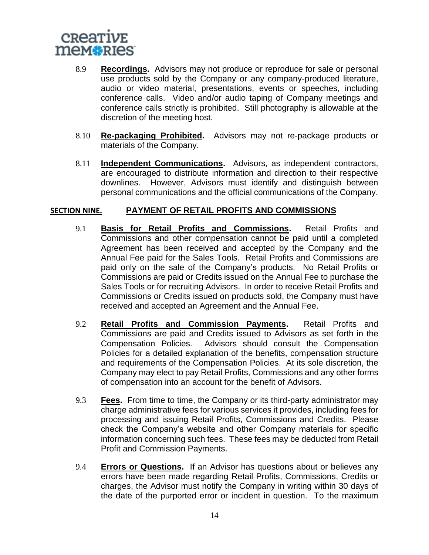

- 8.9 **Recordings.** Advisors may not produce or reproduce for sale or personal use products sold by the Company or any company-produced literature, audio or video material, presentations, events or speeches, including conference calls. Video and/or audio taping of Company meetings and conference calls strictly is prohibited. Still photography is allowable at the discretion of the meeting host.
- 8.10 **Re-packaging Prohibited.** Advisors may not re-package products or materials of the Company.
- 8.11 **Independent Communications.** Advisors, as independent contractors, are encouraged to distribute information and direction to their respective downlines. However, Advisors must identify and distinguish between personal communications and the official communications of the Company.

#### **SECTION NINE. PAYMENT OF RETAIL PROFITS AND COMMISSIONS**

- 9.1 **Basis for Retail Profits and Commissions.** Retail Profits and Commissions and other compensation cannot be paid until a completed Agreement has been received and accepted by the Company and the Annual Fee paid for the Sales Tools. Retail Profits and Commissions are paid only on the sale of the Company's products. No Retail Profits or Commissions are paid or Credits issued on the Annual Fee to purchase the Sales Tools or for recruiting Advisors. In order to receive Retail Profits and Commissions or Credits issued on products sold, the Company must have received and accepted an Agreement and the Annual Fee.
- 9.2 **Retail Profits and Commission Payments.** Retail Profits and Commissions are paid and Credits issued to Advisors as set forth in the Compensation Policies. Advisors should consult the Compensation Policies for a detailed explanation of the benefits, compensation structure and requirements of the Compensation Policies. At its sole discretion, the Company may elect to pay Retail Profits, Commissions and any other forms of compensation into an account for the benefit of Advisors.
- 9.3 **Fees.** From time to time, the Company or its third-party administrator may charge administrative fees for various services it provides, including fees for processing and issuing Retail Profits, Commissions and Credits. Please check the Company's website and other Company materials for specific information concerning such fees. These fees may be deducted from Retail Profit and Commission Payments.
- 9.4 **Errors or Questions.** If an Advisor has questions about or believes any errors have been made regarding Retail Profits, Commissions, Credits or charges, the Advisor must notify the Company in writing within 30 days of the date of the purported error or incident in question. To the maximum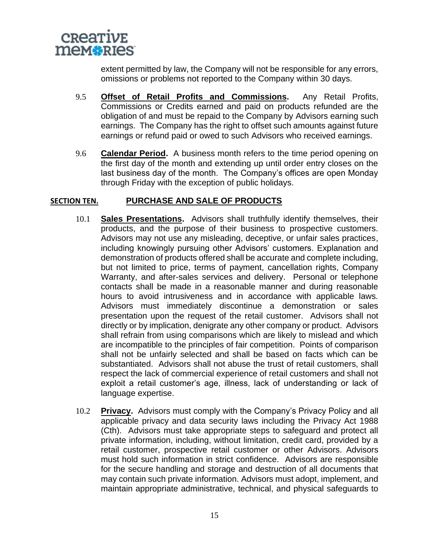

extent permitted by law, the Company will not be responsible for any errors, omissions or problems not reported to the Company within 30 days.

- 9.5 **Offset of Retail Profits and Commissions.** Any Retail Profits, Commissions or Credits earned and paid on products refunded are the obligation of and must be repaid to the Company by Advisors earning such earnings. The Company has the right to offset such amounts against future earnings or refund paid or owed to such Advisors who received earnings.
- 9.6 **Calendar Period.** A business month refers to the time period opening on the first day of the month and extending up until order entry closes on the last business day of the month. The Company's offices are open Monday through Friday with the exception of public holidays.

#### **SECTION TEN. PURCHASE AND SALE OF PRODUCTS**

- 10.1 **Sales Presentations.** Advisors shall truthfully identify themselves, their products, and the purpose of their business to prospective customers. Advisors may not use any misleading, deceptive, or unfair sales practices, including knowingly pursuing other Advisors' customers. Explanation and demonstration of products offered shall be accurate and complete including, but not limited to price, terms of payment, cancellation rights, Company Warranty, and after-sales services and delivery. Personal or telephone contacts shall be made in a reasonable manner and during reasonable hours to avoid intrusiveness and in accordance with applicable laws. Advisors must immediately discontinue a demonstration or sales presentation upon the request of the retail customer. Advisors shall not directly or by implication, denigrate any other company or product. Advisors shall refrain from using comparisons which are likely to mislead and which are incompatible to the principles of fair competition. Points of comparison shall not be unfairly selected and shall be based on facts which can be substantiated. Advisors shall not abuse the trust of retail customers, shall respect the lack of commercial experience of retail customers and shall not exploit a retail customer's age, illness, lack of understanding or lack of language expertise.
- 10.2 **Privacy.** Advisors must comply with the Company's Privacy Policy and all applicable privacy and data security laws including the Privacy Act 1988 (Cth). Advisors must take appropriate steps to safeguard and protect all private information, including, without limitation, credit card, provided by a retail customer, prospective retail customer or other Advisors. Advisors must hold such information in strict confidence. Advisors are responsible for the secure handling and storage and destruction of all documents that may contain such private information. Advisors must adopt, implement, and maintain appropriate administrative, technical, and physical safeguards to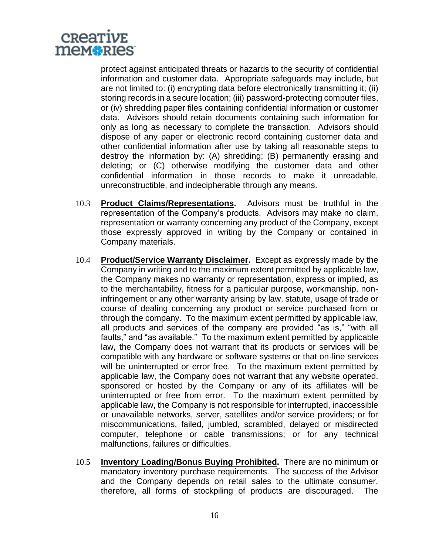

protect against anticipated threats or hazards to the security of confidential information and customer data. Appropriate safeguards may include, but are not limited to: (i) encrypting data before electronically transmitting it; (ii) storing records in a secure location; (iii) password-protecting computer files, or (iv) shredding paper files containing confidential information or customer data. Advisors should retain documents containing such information for only as long as necessary to complete the transaction. Advisors should dispose of any paper or electronic record containing customer data and other confidential information after use by taking all reasonable steps to destroy the information by: (A) shredding; (B) permanently erasing and deleting; or (C) otherwise modifying the customer data and other confidential information in those records to make it unreadable, unreconstructible, and indecipherable through any means.

- 10.3 **Product Claims/Representations.** Advisors must be truthful in the representation of the Company's products. Advisors may make no claim, representation or warranty concerning any product of the Company, except those expressly approved in writing by the Company or contained in Company materials.
- 10.4 **Product/Service Warranty Disclaimer.** Except as expressly made by the Company in writing and to the maximum extent permitted by applicable law, the Company makes no warranty or representation, express or implied, as to the merchantability, fitness for a particular purpose, workmanship, noninfringement or any other warranty arising by law, statute, usage of trade or course of dealing concerning any product or service purchased from or through the company. To the maximum extent permitted by applicable law, all products and services of the company are provided "as is," "with all faults," and "as available." To the maximum extent permitted by applicable law, the Company does not warrant that its products or services will be compatible with any hardware or software systems or that on-line services will be uninterrupted or error free. To the maximum extent permitted by applicable law, the Company does not warrant that any website operated, sponsored or hosted by the Company or any of its affiliates will be uninterrupted or free from error. To the maximum extent permitted by applicable law, the Company is not responsible for interrupted, inaccessible or unavailable networks, server, satellites and/or service providers; or for miscommunications, failed, jumbled, scrambled, delayed or misdirected computer, telephone or cable transmissions; or for any technical malfunctions, failures or difficulties.
- 10.5 **Inventory Loading/Bonus Buying Prohibited.** There are no minimum or mandatory inventory purchase requirements. The success of the Advisor and the Company depends on retail sales to the ultimate consumer, therefore, all forms of stockpiling of products are discouraged. The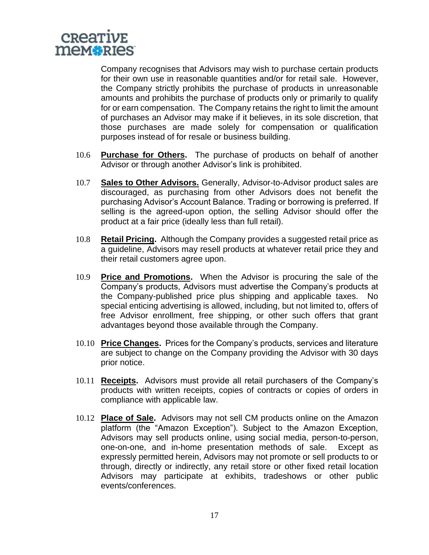

Company recognises that Advisors may wish to purchase certain products for their own use in reasonable quantities and/or for retail sale. However, the Company strictly prohibits the purchase of products in unreasonable amounts and prohibits the purchase of products only or primarily to qualify for or earn compensation. The Company retains the right to limit the amount of purchases an Advisor may make if it believes, in its sole discretion, that those purchases are made solely for compensation or qualification purposes instead of for resale or business building.

- 10.6 **Purchase for Others.** The purchase of products on behalf of another Advisor or through another Advisor's link is prohibited.
- 10.7 **Sales to Other Advisors.** Generally, Advisor-to-Advisor product sales are discouraged, as purchasing from other Advisors does not benefit the purchasing Advisor's Account Balance. Trading or borrowing is preferred. If selling is the agreed-upon option, the selling Advisor should offer the product at a fair price (ideally less than full retail).
- 10.8 **Retail Pricing.** Although the Company provides a suggested retail price as a guideline, Advisors may resell products at whatever retail price they and their retail customers agree upon.
- 10.9 **Price and Promotions.** When the Advisor is procuring the sale of the Company's products, Advisors must advertise the Company's products at the Company-published price plus shipping and applicable taxes. No special enticing advertising is allowed, including, but not limited to, offers of free Advisor enrollment, free shipping, or other such offers that grant advantages beyond those available through the Company.
- 10.10 **Price Changes.** Prices for the Company's products, services and literature are subject to change on the Company providing the Advisor with 30 days prior notice.
- 10.11 **Receipts.** Advisors must provide all retail purchasers of the Company's products with written receipts, copies of contracts or copies of orders in compliance with applicable law.
- 10.12 **Place of Sale.** Advisors may not sell CM products online on the Amazon platform (the "Amazon Exception"). Subject to the Amazon Exception, Advisors may sell products online, using social media, person-to-person, one-on-one, and in-home presentation methods of sale. Except as expressly permitted herein, Advisors may not promote or sell products to or through, directly or indirectly, any retail store or other fixed retail location Advisors may participate at exhibits, tradeshows or other public events/conferences.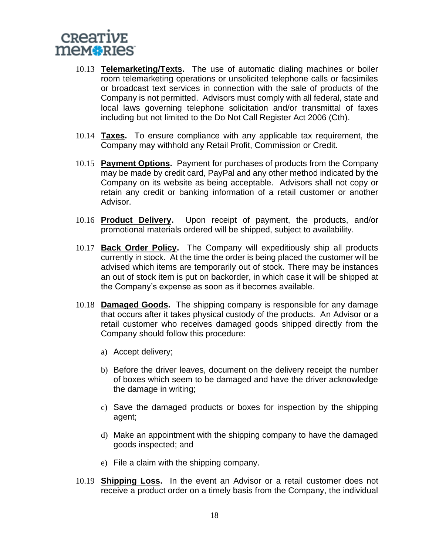# CREATIVE mem**\***RIes

- 10.13 **Telemarketing/Texts.** The use of automatic dialing machines or boiler room telemarketing operations or unsolicited telephone calls or facsimiles or broadcast text services in connection with the sale of products of the Company is not permitted. Advisors must comply with all federal, state and local laws governing telephone solicitation and/or transmittal of faxes including but not limited to the Do Not Call Register Act 2006 (Cth).
- 10.14 **Taxes.** To ensure compliance with any applicable tax requirement, the Company may withhold any Retail Profit, Commission or Credit.
- 10.15 **Payment Options.** Payment for purchases of products from the Company may be made by credit card, PayPal and any other method indicated by the Company on its website as being acceptable. Advisors shall not copy or retain any credit or banking information of a retail customer or another Advisor.
- 10.16 **Product Delivery.** Upon receipt of payment, the products, and/or promotional materials ordered will be shipped, subject to availability.
- 10.17 **Back Order Policy.** The Company will expeditiously ship all products currently in stock. At the time the order is being placed the customer will be advised which items are temporarily out of stock. There may be instances an out of stock item is put on backorder, in which case it will be shipped at the Company's expense as soon as it becomes available.
- 10.18 **Damaged Goods.** The shipping company is responsible for any damage that occurs after it takes physical custody of the products. An Advisor or a retail customer who receives damaged goods shipped directly from the Company should follow this procedure:
	- a) Accept delivery;
	- b) Before the driver leaves, document on the delivery receipt the number of boxes which seem to be damaged and have the driver acknowledge the damage in writing;
	- c) Save the damaged products or boxes for inspection by the shipping agent;
	- d) Make an appointment with the shipping company to have the damaged goods inspected; and
	- e) File a claim with the shipping company.
- 10.19 **Shipping Loss.** In the event an Advisor or a retail customer does not receive a product order on a timely basis from the Company, the individual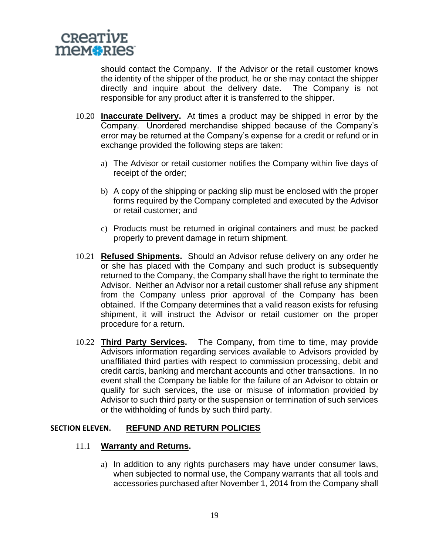

should contact the Company. If the Advisor or the retail customer knows the identity of the shipper of the product, he or she may contact the shipper directly and inquire about the delivery date. The Company is not responsible for any product after it is transferred to the shipper.

- 10.20 **Inaccurate Delivery.** At times a product may be shipped in error by the Company. Unordered merchandise shipped because of the Company's error may be returned at the Company's expense for a credit or refund or in exchange provided the following steps are taken:
	- a) The Advisor or retail customer notifies the Company within five days of receipt of the order;
	- b) A copy of the shipping or packing slip must be enclosed with the proper forms required by the Company completed and executed by the Advisor or retail customer; and
	- c) Products must be returned in original containers and must be packed properly to prevent damage in return shipment.
- 10.21 **Refused Shipments.** Should an Advisor refuse delivery on any order he or she has placed with the Company and such product is subsequently returned to the Company, the Company shall have the right to terminate the Advisor. Neither an Advisor nor a retail customer shall refuse any shipment from the Company unless prior approval of the Company has been obtained. If the Company determines that a valid reason exists for refusing shipment, it will instruct the Advisor or retail customer on the proper procedure for a return.
- 10.22 **Third Party Services.** The Company, from time to time, may provide Advisors information regarding services available to Advisors provided by unaffiliated third parties with respect to commission processing, debit and credit cards, banking and merchant accounts and other transactions. In no event shall the Company be liable for the failure of an Advisor to obtain or qualify for such services, the use or misuse of information provided by Advisor to such third party or the suspension or termination of such services or the withholding of funds by such third party.

#### **SECTION ELEVEN. REFUND AND RETURN POLICIES**

#### 11.1 **Warranty and Returns.**

a) In addition to any rights purchasers may have under consumer laws, when subjected to normal use, the Company warrants that all tools and accessories purchased after November 1, 2014 from the Company shall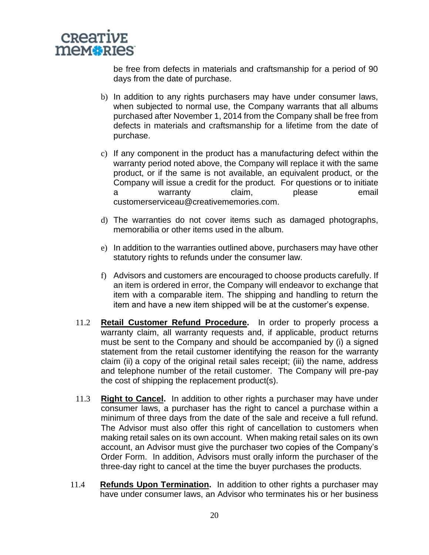

be free from defects in materials and craftsmanship for a period of 90 days from the date of purchase.

- b) In addition to any rights purchasers may have under consumer laws, when subjected to normal use, the Company warrants that all albums purchased after November 1, 2014 from the Company shall be free from defects in materials and craftsmanship for a lifetime from the date of purchase.
- c) If any component in the product has a manufacturing defect within the warranty period noted above, the Company will replace it with the same product, or if the same is not available, an equivalent product, or the Company will issue a credit for the product. For questions or to initiate a warranty claim, please email customerserviceau@creativememories.com.
- d) The warranties do not cover items such as damaged photographs, memorabilia or other items used in the album.
- e) In addition to the warranties outlined above, purchasers may have other statutory rights to refunds under the consumer law.
- f) Advisors and customers are encouraged to choose products carefully. If an item is ordered in error, the Company will endeavor to exchange that item with a comparable item. The shipping and handling to return the item and have a new item shipped will be at the customer's expense.
- 11.2 **Retail Customer Refund Procedure.** In order to properly process a warranty claim, all warranty requests and, if applicable, product returns must be sent to the Company and should be accompanied by (i) a signed statement from the retail customer identifying the reason for the warranty claim (ii) a copy of the original retail sales receipt; (iii) the name, address and telephone number of the retail customer. The Company will pre-pay the cost of shipping the replacement product(s).
- 11.3 **Right to Cancel.** In addition to other rights a purchaser may have under consumer laws, a purchaser has the right to cancel a purchase within a minimum of three days from the date of the sale and receive a full refund. The Advisor must also offer this right of cancellation to customers when making retail sales on its own account. When making retail sales on its own account, an Advisor must give the purchaser two copies of the Company's Order Form. In addition, Advisors must orally inform the purchaser of the three-day right to cancel at the time the buyer purchases the products.
- 11.4 **Refunds Upon Termination.** In addition to other rights a purchaser may have under consumer laws, an Advisor who terminates his or her business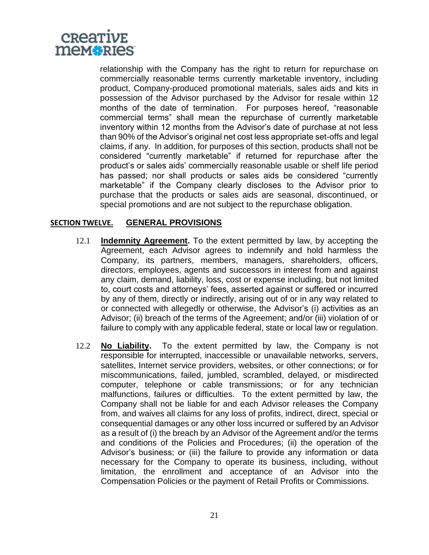

relationship with the Company has the right to return for repurchase on commercially reasonable terms currently marketable inventory, including product, Company-produced promotional materials, sales aids and kits in possession of the Advisor purchased by the Advisor for resale within 12 months of the date of termination. For purposes hereof, "reasonable commercial terms" shall mean the repurchase of currently marketable inventory within 12 months from the Advisor's date of purchase at not less than 90% of the Advisor's original net cost less appropriate set-offs and legal claims, if any. In addition, for purposes of this section, products shall not be considered "currently marketable" if returned for repurchase after the product's or sales aids' commercially reasonable usable or shelf life period has passed; nor shall products or sales aids be considered "currently marketable" if the Company clearly discloses to the Advisor prior to purchase that the products or sales aids are seasonal, discontinued, or special promotions and are not subject to the repurchase obligation.

#### **SECTION TWELVE. GENERAL PROVISIONS**

- 12.1 **Indemnity Agreement.** To the extent permitted by law, by accepting the Agreement, each Advisor agrees to indemnify and hold harmless the Company, its partners, members, managers, shareholders, officers, directors, employees, agents and successors in interest from and against any claim, demand, liability, loss, cost or expense including, but not limited to, court costs and attorneys' fees, asserted against or suffered or incurred by any of them, directly or indirectly, arising out of or in any way related to or connected with allegedly or otherwise, the Advisor's (i) activities as an Advisor; (ii) breach of the terms of the Agreement; and/or (iii) violation of or failure to comply with any applicable federal, state or local law or regulation.
- 12.2 **No Liability.** To the extent permitted by law, the Company is not responsible for interrupted, inaccessible or unavailable networks, servers, satellites, Internet service providers, websites, or other connections; or for miscommunications, failed, jumbled, scrambled, delayed, or misdirected computer, telephone or cable transmissions; or for any technician malfunctions, failures or difficulties. To the extent permitted by law, the Company shall not be liable for and each Advisor releases the Company from, and waives all claims for any loss of profits, indirect, direct, special or consequential damages or any other loss incurred or suffered by an Advisor as a result of (i) the breach by an Advisor of the Agreement and/or the terms and conditions of the Policies and Procedures; (ii) the operation of the Advisor's business; or (iii) the failure to provide any information or data necessary for the Company to operate its business, including, without limitation, the enrollment and acceptance of an Advisor into the Compensation Policies or the payment of Retail Profits or Commissions.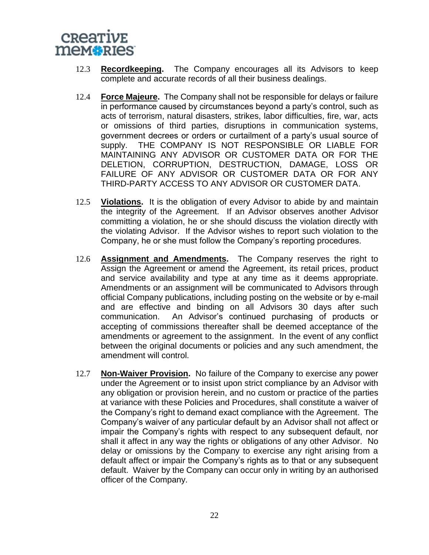

- 12.3 **Recordkeeping.** The Company encourages all its Advisors to keep complete and accurate records of all their business dealings.
- 12.4 **Force Majeure.** The Company shall not be responsible for delays or failure in performance caused by circumstances beyond a party's control, such as acts of terrorism, natural disasters, strikes, labor difficulties, fire, war, acts or omissions of third parties, disruptions in communication systems, government decrees or orders or curtailment of a party's usual source of supply. THE COMPANY IS NOT RESPONSIBLE OR LIABLE FOR MAINTAINING ANY ADVISOR OR CUSTOMER DATA OR FOR THE DELETION, CORRUPTION, DESTRUCTION, DAMAGE, LOSS OR FAILURE OF ANY ADVISOR OR CUSTOMER DATA OR FOR ANY THIRD-PARTY ACCESS TO ANY ADVISOR OR CUSTOMER DATA.
- 12.5 **Violations.** It is the obligation of every Advisor to abide by and maintain the integrity of the Agreement. If an Advisor observes another Advisor committing a violation, he or she should discuss the violation directly with the violating Advisor. If the Advisor wishes to report such violation to the Company, he or she must follow the Company's reporting procedures.
- 12.6 **Assignment and Amendments.** The Company reserves the right to Assign the Agreement or amend the Agreement, its retail prices, product and service availability and type at any time as it deems appropriate. Amendments or an assignment will be communicated to Advisors through official Company publications, including posting on the website or by e-mail and are effective and binding on all Advisors 30 days after such communication. An Advisor's continued purchasing of products or accepting of commissions thereafter shall be deemed acceptance of the amendments or agreement to the assignment. In the event of any conflict between the original documents or policies and any such amendment, the amendment will control.
- 12.7 **Non-Waiver Provision.** No failure of the Company to exercise any power under the Agreement or to insist upon strict compliance by an Advisor with any obligation or provision herein, and no custom or practice of the parties at variance with these Policies and Procedures, shall constitute a waiver of the Company's right to demand exact compliance with the Agreement. The Company's waiver of any particular default by an Advisor shall not affect or impair the Company's rights with respect to any subsequent default, nor shall it affect in any way the rights or obligations of any other Advisor. No delay or omissions by the Company to exercise any right arising from a default affect or impair the Company's rights as to that or any subsequent default. Waiver by the Company can occur only in writing by an authorised officer of the Company.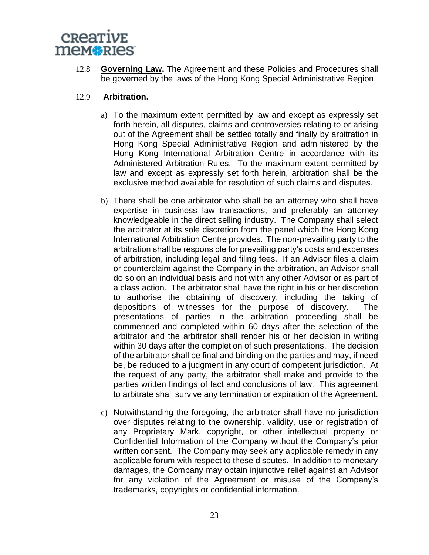

12.8 **Governing Law.** The Agreement and these Policies and Procedures shall be governed by the laws of the Hong Kong Special Administrative Region.

#### 12.9 **Arbitration.**

- a) To the maximum extent permitted by law and except as expressly set forth herein, all disputes, claims and controversies relating to or arising out of the Agreement shall be settled totally and finally by arbitration in Hong Kong Special Administrative Region and administered by the Hong Kong International Arbitration Centre in accordance with its Administered Arbitration Rules. To the maximum extent permitted by law and except as expressly set forth herein, arbitration shall be the exclusive method available for resolution of such claims and disputes.
- b) There shall be one arbitrator who shall be an attorney who shall have expertise in business law transactions, and preferably an attorney knowledgeable in the direct selling industry. The Company shall select the arbitrator at its sole discretion from the panel which the Hong Kong International Arbitration Centre provides. The non-prevailing party to the arbitration shall be responsible for prevailing party's costs and expenses of arbitration, including legal and filing fees. If an Advisor files a claim or counterclaim against the Company in the arbitration, an Advisor shall do so on an individual basis and not with any other Advisor or as part of a class action. The arbitrator shall have the right in his or her discretion to authorise the obtaining of discovery, including the taking of depositions of witnesses for the purpose of discovery. The presentations of parties in the arbitration proceeding shall be commenced and completed within 60 days after the selection of the arbitrator and the arbitrator shall render his or her decision in writing within 30 days after the completion of such presentations. The decision of the arbitrator shall be final and binding on the parties and may, if need be, be reduced to a judgment in any court of competent jurisdiction. At the request of any party, the arbitrator shall make and provide to the parties written findings of fact and conclusions of law. This agreement to arbitrate shall survive any termination or expiration of the Agreement.
- c) Notwithstanding the foregoing, the arbitrator shall have no jurisdiction over disputes relating to the ownership, validity, use or registration of any Proprietary Mark, copyright, or other intellectual property or Confidential Information of the Company without the Company's prior written consent. The Company may seek any applicable remedy in any applicable forum with respect to these disputes. In addition to monetary damages, the Company may obtain injunctive relief against an Advisor for any violation of the Agreement or misuse of the Company's trademarks, copyrights or confidential information.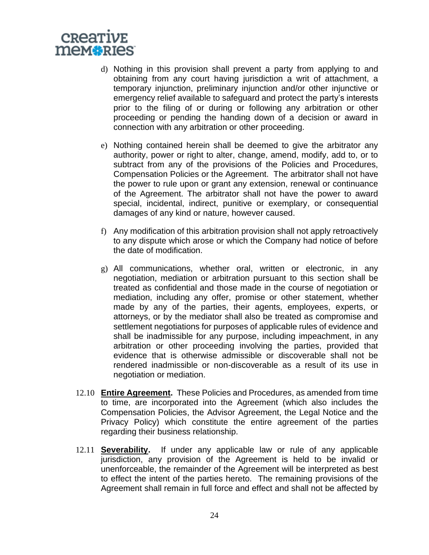# CREATIVE mem**\***RIes

- d) Nothing in this provision shall prevent a party from applying to and obtaining from any court having jurisdiction a writ of attachment, a temporary injunction, preliminary injunction and/or other injunctive or emergency relief available to safeguard and protect the party's interests prior to the filing of or during or following any arbitration or other proceeding or pending the handing down of a decision or award in connection with any arbitration or other proceeding.
- e) Nothing contained herein shall be deemed to give the arbitrator any authority, power or right to alter, change, amend, modify, add to, or to subtract from any of the provisions of the Policies and Procedures, Compensation Policies or the Agreement. The arbitrator shall not have the power to rule upon or grant any extension, renewal or continuance of the Agreement. The arbitrator shall not have the power to award special, incidental, indirect, punitive or exemplary, or consequential damages of any kind or nature, however caused.
- f) Any modification of this arbitration provision shall not apply retroactively to any dispute which arose or which the Company had notice of before the date of modification.
- g) All communications, whether oral, written or electronic, in any negotiation, mediation or arbitration pursuant to this section shall be treated as confidential and those made in the course of negotiation or mediation, including any offer, promise or other statement, whether made by any of the parties, their agents, employees, experts, or attorneys, or by the mediator shall also be treated as compromise and settlement negotiations for purposes of applicable rules of evidence and shall be inadmissible for any purpose, including impeachment, in any arbitration or other proceeding involving the parties, provided that evidence that is otherwise admissible or discoverable shall not be rendered inadmissible or non-discoverable as a result of its use in negotiation or mediation.
- 12.10 **Entire Agreement.** These Policies and Procedures, as amended from time to time, are incorporated into the Agreement (which also includes the Compensation Policies, the Advisor Agreement, the Legal Notice and the Privacy Policy) which constitute the entire agreement of the parties regarding their business relationship.
- 12.11 **Severability.** If under any applicable law or rule of any applicable jurisdiction, any provision of the Agreement is held to be invalid or unenforceable, the remainder of the Agreement will be interpreted as best to effect the intent of the parties hereto. The remaining provisions of the Agreement shall remain in full force and effect and shall not be affected by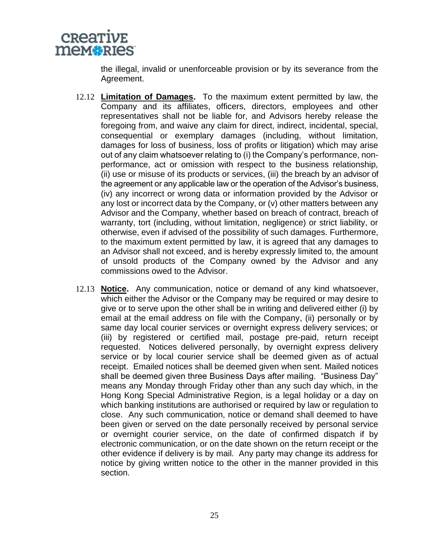

the illegal, invalid or unenforceable provision or by its severance from the Agreement.

- 12.12 **Limitation of Damages.** To the maximum extent permitted by law, the Company and its affiliates, officers, directors, employees and other representatives shall not be liable for, and Advisors hereby release the foregoing from, and waive any claim for direct, indirect, incidental, special, consequential or exemplary damages (including, without limitation, damages for loss of business, loss of profits or litigation) which may arise out of any claim whatsoever relating to (i) the Company's performance, nonperformance, act or omission with respect to the business relationship, (ii) use or misuse of its products or services, (iii) the breach by an advisor of the agreement or any applicable law or the operation of the Advisor's business, (iv) any incorrect or wrong data or information provided by the Advisor or any lost or incorrect data by the Company, or (v) other matters between any Advisor and the Company, whether based on breach of contract, breach of warranty, tort (including, without limitation, negligence) or strict liability, or otherwise, even if advised of the possibility of such damages. Furthermore, to the maximum extent permitted by law, it is agreed that any damages to an Advisor shall not exceed, and is hereby expressly limited to, the amount of unsold products of the Company owned by the Advisor and any commissions owed to the Advisor.
- 12.13 **Notice.** Any communication, notice or demand of any kind whatsoever, which either the Advisor or the Company may be required or may desire to give or to serve upon the other shall be in writing and delivered either (i) by email at the email address on file with the Company, (ii) personally or by same day local courier services or overnight express delivery services; or (iii) by registered or certified mail, postage pre-paid, return receipt requested. Notices delivered personally, by overnight express delivery service or by local courier service shall be deemed given as of actual receipt. Emailed notices shall be deemed given when sent. Mailed notices shall be deemed given three Business Days after mailing. "Business Day" means any Monday through Friday other than any such day which, in the Hong Kong Special Administrative Region, is a legal holiday or a day on which banking institutions are authorised or required by law or regulation to close. Any such communication, notice or demand shall deemed to have been given or served on the date personally received by personal service or overnight courier service, on the date of confirmed dispatch if by electronic communication, or on the date shown on the return receipt or the other evidence if delivery is by mail. Any party may change its address for notice by giving written notice to the other in the manner provided in this section.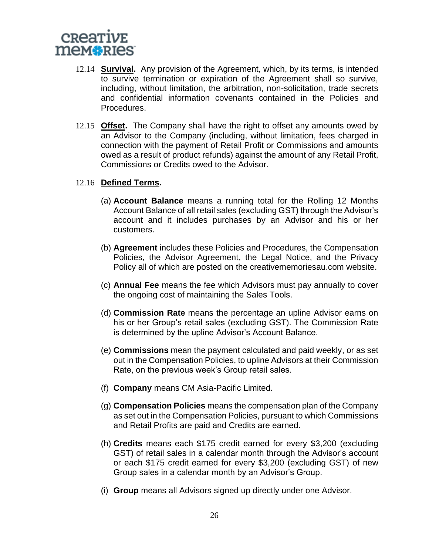

- 12.14 **Survival.** Any provision of the Agreement, which, by its terms, is intended to survive termination or expiration of the Agreement shall so survive, including, without limitation, the arbitration, non-solicitation, trade secrets and confidential information covenants contained in the Policies and Procedures.
- 12.15 **Offset.** The Company shall have the right to offset any amounts owed by an Advisor to the Company (including, without limitation, fees charged in connection with the payment of Retail Profit or Commissions and amounts owed as a result of product refunds) against the amount of any Retail Profit, Commissions or Credits owed to the Advisor.

#### 12.16 **Defined Terms.**

- (a) **Account Balance** means a running total for the Rolling 12 Months Account Balance of all retail sales (excluding GST) through the Advisor's account and it includes purchases by an Advisor and his or her customers.
- (b) **Agreement** includes these Policies and Procedures, the Compensation Policies, the Advisor Agreement, the Legal Notice, and the Privacy Policy all of which are posted on the creativememoriesau.com website.
- (c) **Annual Fee** means the fee which Advisors must pay annually to cover the ongoing cost of maintaining the Sales Tools.
- (d) **Commission Rate** means the percentage an upline Advisor earns on his or her Group's retail sales (excluding GST). The Commission Rate is determined by the upline Advisor's Account Balance.
- (e) **Commissions** mean the payment calculated and paid weekly, or as set out in the Compensation Policies, to upline Advisors at their Commission Rate, on the previous week's Group retail sales.
- (f) **Company** means CM Asia-Pacific Limited.
- (g) **Compensation Policies** means the compensation plan of the Company as set out in the Compensation Policies, pursuant to which Commissions and Retail Profits are paid and Credits are earned.
- (h) **Credits** means each \$175 credit earned for every \$3,200 (excluding GST) of retail sales in a calendar month through the Advisor's account or each \$175 credit earned for every \$3,200 (excluding GST) of new Group sales in a calendar month by an Advisor's Group.
- (i) **Group** means all Advisors signed up directly under one Advisor.